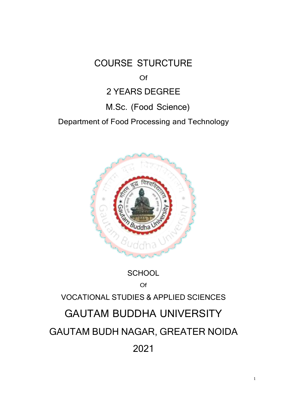COURSE STURCTURE

Of

# 2 YEARS DEGREE

# M.Sc. (Food Science)

Department of Food Processing and Technology



## **SCHOOL**

## Of

# VOCATIONAL STUDIES & APPLIED SCIENCES

# GAUTAM BUDDHA UNIVERSITY

# GAUTAM BUDH NAGAR, GREATER NOIDA 2021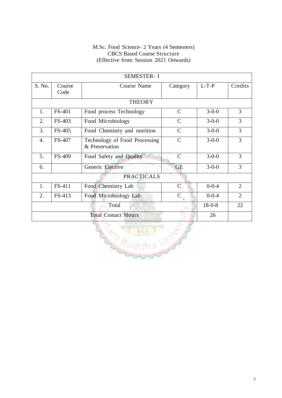| <b>SEMESTER-I</b>          |                |                                                 |               |              |                |  |
|----------------------------|----------------|-------------------------------------------------|---------------|--------------|----------------|--|
| S. No.                     | Course<br>Code | Course Name                                     | Category      | $L-T-P$      | Credits        |  |
|                            |                | <b>THEORY</b>                                   |               |              |                |  |
| 1.                         | <b>FS-401</b>  | Food process Technology                         | $\mathcal{C}$ | $3 - 0 - 0$  | 3              |  |
| 2.                         | FS-403         | Food Microbiology                               | $\mathcal{C}$ | $3 - 0 - 0$  | 3              |  |
| 3.                         | FS-405         | Food Chemistry and nutrition                    | $\mathcal{C}$ | $3 - 0 - 0$  | 3              |  |
| $\overline{4}$ .           | FS-407         | Technology of Food Processing<br>& Preservation | $\mathcal{C}$ | $3 - 0 - 0$  | 3              |  |
| 5.                         | FS-409         | Food Safety and Quality                         | $\mathcal{C}$ | $3 - 0 - 0$  | 3              |  |
| 6.                         |                | Generic Elective                                | <b>GE</b>     | $3 - 0 - 0$  | 3              |  |
| <b>PRACTICALS</b>          |                |                                                 |               |              |                |  |
| 1.                         | FS-411         | Food Chemistry Lab                              | C             | $0 - 0 - 4$  | $\overline{2}$ |  |
| 2.                         | FS-413         | Food Microbiology Lab                           | $\mathcal{C}$ | $0 - 0 - 4$  | $\overline{2}$ |  |
| Total                      |                |                                                 |               | $18 - 0 - 8$ | 22             |  |
| <b>Total Contact Hours</b> |                |                                                 |               | 26           |                |  |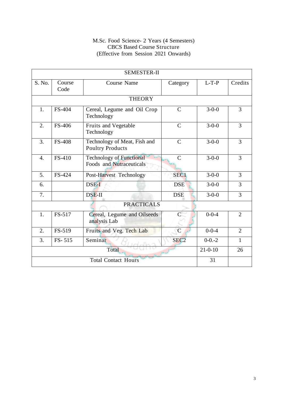| <b>SEMESTER-II</b>         |                |                                                             |                  |             |                |  |
|----------------------------|----------------|-------------------------------------------------------------|------------------|-------------|----------------|--|
| S. No.                     | Course<br>Code | <b>Course Name</b>                                          | Category         | $L-T-P$     | Credits        |  |
|                            |                | <b>THEORY</b>                                               |                  |             |                |  |
| 1.                         | FS-404         | Cereal, Legume and Oil Crop<br>Technology                   | $\mathcal{C}$    | $3 - 0 - 0$ | 3              |  |
| 2.                         | FS-406         | Fruits and Vegetable<br>Technology                          | $\mathsf{C}$     | $3 - 0 - 0$ | 3              |  |
| 3.                         | <b>FS-408</b>  | Technology of Meat, Fish and<br><b>Poultry Products</b>     | $\mathcal{C}$    | $3 - 0 - 0$ | 3              |  |
| 4.                         | FS-410         | <b>Technology of Functional</b><br>Foods and Nutraceuticals | $\mathcal{C}$    | $3 - 0 - 0$ | 3              |  |
| 5.                         | FS-424         | Post-Harvest Technology                                     | SEC1             | $3 - 0 - 0$ | $\overline{3}$ |  |
| 6.                         |                | DSE-I                                                       | <b>DSE</b>       | $3 - 0 - 0$ | 3              |  |
| 7.                         |                | DSE-II                                                      | <b>DSE</b>       | $3 - 0 - 0$ | $\overline{3}$ |  |
| <b>PRACTICALS</b>          |                |                                                             |                  |             |                |  |
| 1.                         | FS-517         | Cereal, Legume and Oilseeds<br>analysis Lab                 |                  | $0 - 0 - 4$ | $\overline{2}$ |  |
| 2.                         | FS-519         | Fruits and Veg. Tech Lab                                    | $\overline{C}$   | $0 - 0 - 4$ | $\overline{2}$ |  |
| 3.                         | FS-515         | Seminar                                                     | SEC <sub>2</sub> | $0-0.2$     | $\mathbf{1}$   |  |
| Total                      |                |                                                             | $21 - 0 - 10$    | 26          |                |  |
| <b>Total Contact Hours</b> |                |                                                             | 31               |             |                |  |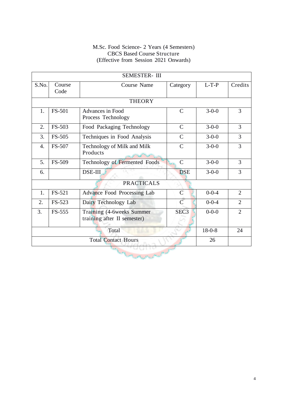| <b>SEMESTER-III</b>   |                |                                                          |                  |             |                |  |
|-----------------------|----------------|----------------------------------------------------------|------------------|-------------|----------------|--|
| S.No.                 | Course<br>Code | <b>Course Name</b>                                       | Category         | $L-T-P$     | Credits        |  |
|                       |                | <b>THEORY</b>                                            |                  |             |                |  |
| 1.                    | <b>FS-501</b>  | <b>Advances in Food</b><br>Process Technology            | $\mathbf C$      | $3 - 0 - 0$ | 3              |  |
| 2.                    | FS-503         | Food Packaging Technology                                | $\mathcal{C}$    | $3-0-0$     | 3              |  |
| 3.                    | FS-505         | Techniques in Food Analysis                              | $\mathsf{C}$     | $3 - 0 - 0$ | 3              |  |
| 4.                    | FS-507         | Technology of Milk and Milk<br>Products                  | $\mathcal{C}$    | $3 - 0 - 0$ | $\overline{3}$ |  |
| 5.                    | FS-509         | Technology of Fermented Foods                            | $\mathcal{C}$    | $3 - 0 - 0$ | 3              |  |
| 6.                    |                | <b>DSE-III</b>                                           | <b>DSE</b>       | $3 - 0 - 0$ | 3              |  |
| <b>PRACTICALS</b>     |                |                                                          |                  |             |                |  |
| 1.                    | FS-521         | Advance Food Processing Lab                              | $\mathcal{C}$    | $0 - 0 - 4$ | $\overline{2}$ |  |
| 2.                    | FS-523         | Dairy Technology Lab                                     | $\overline{C}$   | $0 - 0 - 4$ | $\overline{2}$ |  |
| 3.                    | FS-555         | Training (4-6weeks Summer<br>training after II semester) | SEC <sub>3</sub> | $0 - 0 - 0$ | $\overline{2}$ |  |
| $18 - 0 - 8$<br>Total |                |                                                          |                  |             | 24             |  |
|                       |                | <b>Total Contact Hours</b>                               |                  | 26          |                |  |
|                       |                |                                                          |                  |             |                |  |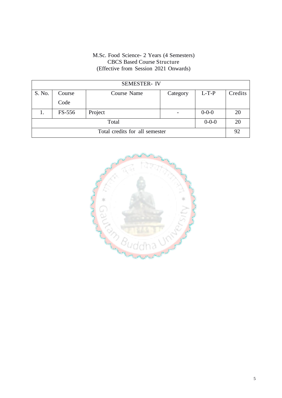| <b>SEMESTER-IV</b>             |        |             |          |             |         |
|--------------------------------|--------|-------------|----------|-------------|---------|
| S. No.                         | Course | Course Name | Category | $L-T-P$     | Credits |
|                                | Code   |             |          |             |         |
|                                | FS-556 | Project     |          | $0 - 0 - 0$ | 20      |
| $0 - 0 - 0$<br>Total           |        |             |          |             | 20      |
| Total credits for all semester |        |             |          | 92          |         |

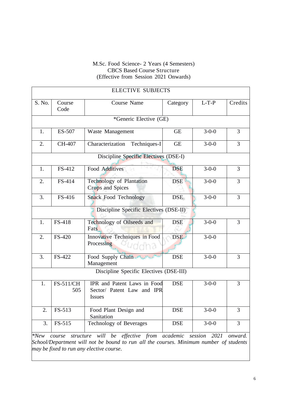| <b>ELECTIVE SUBJECTS</b>                                                                                                                                                                                                          |                                        |                                                                            |            |             |         |  |  |
|-----------------------------------------------------------------------------------------------------------------------------------------------------------------------------------------------------------------------------------|----------------------------------------|----------------------------------------------------------------------------|------------|-------------|---------|--|--|
| S. No.                                                                                                                                                                                                                            | Course<br>Code                         | Course Name                                                                | Category   | $L-T-P$     | Credits |  |  |
|                                                                                                                                                                                                                                   |                                        | *Generic Elective (GE)                                                     |            |             |         |  |  |
| 1.                                                                                                                                                                                                                                | ES-507                                 | Waste Management                                                           | <b>GE</b>  | $3 - 0 - 0$ | 3       |  |  |
| 2.                                                                                                                                                                                                                                | CH-407                                 | Characterization<br>Techniques-I                                           | <b>GE</b>  | $3-0-0$     | 3       |  |  |
|                                                                                                                                                                                                                                   |                                        | Discipline Specific Electives (DSE-I)                                      |            |             |         |  |  |
| 1.                                                                                                                                                                                                                                | FS-412                                 | <b>Food Additives</b>                                                      | <b>DSE</b> | $3 - 0 - 0$ | 3       |  |  |
| 2.                                                                                                                                                                                                                                | FS-414                                 | Technology of Plantation<br><b>Crops and Spices</b>                        | <b>DSE</b> | $3-0-0$     | 3       |  |  |
| 3.                                                                                                                                                                                                                                | FS-416                                 | <b>Snack Food Technology</b>                                               | <b>DSE</b> | $3 - 0 - 0$ | 3       |  |  |
|                                                                                                                                                                                                                                   | Discipline Specific Electives (DSE-II) |                                                                            |            |             |         |  |  |
| 1.                                                                                                                                                                                                                                | FS-418                                 | Technology of Oilseeds and<br>Fats                                         | <b>DSE</b> | $3 - 0 - 0$ | 3       |  |  |
| 2.                                                                                                                                                                                                                                | FS-420                                 | Innovative Techniques in Food<br>Processing<br>13                          | <b>DSE</b> | $3 - 0 - 0$ |         |  |  |
| 3.                                                                                                                                                                                                                                | FS-422                                 | Food Supply Chain and Marine<br>Management                                 | <b>DSE</b> | $3 - 0 - 0$ | 3       |  |  |
| Discipline Specific Electives (DSE-III)                                                                                                                                                                                           |                                        |                                                                            |            |             |         |  |  |
| 1.                                                                                                                                                                                                                                | FS-511/CH<br>505                       | IPR and Patent Laws in Food<br>Sector/ Patent Law and IPR<br><b>Issues</b> | <b>DSE</b> | $3 - 0 - 0$ | 3       |  |  |
| 2.                                                                                                                                                                                                                                | FS-513                                 | Food Plant Design and<br>Sanitation                                        | <b>DSE</b> | $3 - 0 - 0$ | 3       |  |  |
| 3.                                                                                                                                                                                                                                | FS-515                                 | <b>Technology of Beverages</b>                                             | <b>DSE</b> | $3-0-0$     | 3       |  |  |
| structure will be effective from academic<br>2021<br>$*New$<br>session<br>onward.<br>course<br>School/Department will not be bound to run all the courses. Minimum number of students<br>may be fixed to run any elective course. |                                        |                                                                            |            |             |         |  |  |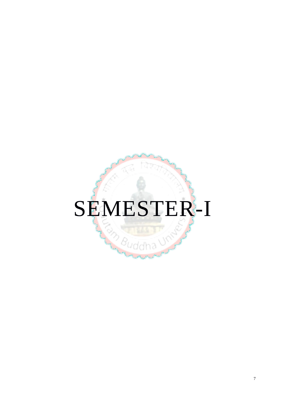# SEMESTER-I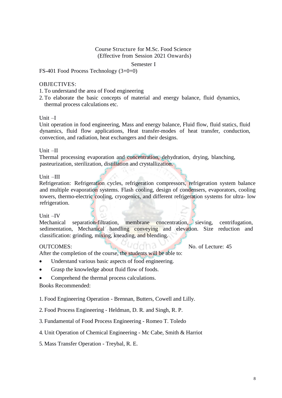Semester I

FS-401 Food Process Technology (3+0+0)

#### OBJECTIVES:

1. To understand the area of Food engineering

2. To elaborate the basic concepts of material and energy balance, fluid dynamics, thermal process calculations etc.

#### Unit –I

Unit operation in food engineering, Mass and energy balance, Fluid flow, fluid statics, fluid dynamics, fluid flow applications, Heat transfer-modes of heat transfer, conduction, convection, and radiation, heat exchangers and their designs.

#### Unit –II

Thermal processing evaporation and concentration, dehydration, drying, blanching, pasteurization, sterilization, distillation and crystallization.

#### Unit –III

Refrigeration: Refrigeration cycles, refrigeration compressors, refrigeration system balance and multiple evaporation systems. Flash cooling, design of condensers, evaporators, cooling towers, thermo-electric cooling, cryogenics, and different refrigeration systems for ultra- low refrigeration.

### Unit –IV

Mechanical separation-filtration, membrane concentration, sieving, centrifugation, sedimentation, Mechanical handling conveying and elevation. Size reduction and classification: grinding, mixing, kneading, and blending.

OUTCOMES: No. of Lecture: 45

After the completion of the course, the students will be able to:

- Understand various basic aspects of food engineering.
- Grasp the knowledge about fluid flow of foods.
- Comprehend the thermal process calculations.

#### Books Recommended:

1. Food Engineering Operation - Brennan, Butters, Cowell and Lilly.

- 2. Food Process Engineering Heldman, D. R. and Singh, R. P.
- 3. Fundamental of Food Process Engineering Romeo T. Toledo
- 4. Unit Operation of Chemical Engineering Mc Cabe, Smith & Harriot
- 5. Mass Transfer Operation Treybal, R. E.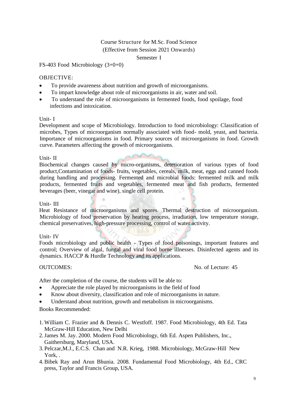#### Semester I

FS-403 Food Microbiology (3+0+0)

#### OBJECTIVE:

- To provide awareness about nutrition and growth of microorganisms.
- To impart knowledge about role of microorganisms in air, water and soil.
- To understand the role of microorganisms in fermented foods, food spoilage, food infections and intoxication.

#### Unit- I

Development and scope of Microbiology. Introduction to food microbiology: Classification of microbes, Types of microorganism normally associated with food- mold, yeast, and bacteria. Importance of microorganisms in food. Primary sources of microorganisms in food. Growth curve. Parameters affecting the growth of microorganisms.

#### Unit- II

Biochemical changes caused by micro-organisms, deterioration of various types of food product,Contamination of foods- fruits, vegetables, cereals, milk, meat, eggs and canned foods during handling and processing. Fermented and microbial foods: fermented milk and milk products, fermented fruits and vegetables, fermented meat and fish products, fermented beverages (beer, vinegar and wine), single cell protein.

#### Unit- III

Heat Resistance of microorganisms and spores. Thermal destruction of microorganism. Microbiology of food preservation by heating process, irradiation, low temperature storage, chemical preservatives, high-pressure processing, control of water activity.

#### Unit- IV

Foods microbiology and public health - Types of food poisonings, important features and control; Overview of algal, fungal and viral food borne illnesses. Disinfected agents and its dynamics. HACCP & Hurdle Technology and its applications.

OUTCOMES: No. of Lecture: 45

After the completion of the course, the students will be able to:

- Appreciate the role played by microorganisms in the field of food
- Know about diversity, classification and role of microorganisms in nature.
- Understand about nutrition, growth and metabolism in microorganisms.

- 1. William C. Frazier and & Dennis C. Westfoff. 1987. Food Microbiology, 4th Ed. Tata McGraw-Hill Education, New Delhi
- 2.James M. Jay. 2000. Modern Food Microbiology, 6th Ed. Aspen Publishers, Inc., Gaithersburg, Maryland, USA.
- 3. Pelczar,M.J., E.C.S. Chan and N.R. Krieg, 1988. Microbiology, McGraw-Hill New York.
- 4.Bibek Ray and Arun Bhunia. 2008. Fundamental Food Microbiology, 4th Ed., CRC press, Taylor and Francis Group, USA.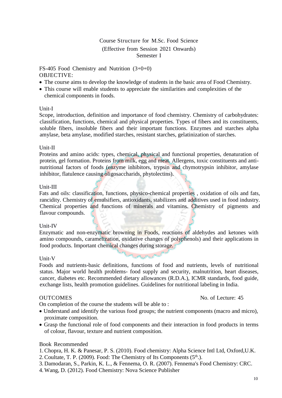FS-405 Food Chemistry and Nutrition (3+0+0) OBJECTIVE:

- The course aims to develop the knowledge of students in the basic area of Food Chemistry.
- This course will enable students to appreciate the similarities and complexities of the chemical components in foods.

#### Unit-I

Scope, introduction, definition and importance of food chemistry. Chemistry of carbohydrates: classification, functions, chemical and physical properties. Types of fibers and its constituents, soluble fibers, insoluble fibers and their important functions. Enzymes and starches alpha amylase, beta amylase, modified starches, resistant starches, gelatinization of starches.

#### Unit-II

Proteins and amino acids: types, chemical, physical and functional properties, denaturation of protein, gel formation. Proteins from milk, egg and meat. Allergens, toxic constituents and antinutritional factors of foods (enzyme inhibitors, trypsin and chymotrypsin inhibitor, amylase inhibitor, flatulence causing oligosaccharids, phytolectins).

#### Unit-III

Fats and oils: classification, functions, physico-chemical properties , oxidation of oils and fats, rancidity. Chemistry of emulsifiers, antioxidants, stabilizers and additives used in food industry. Chemical properties and functions of minerals and vitamins. Chemistry of pigments and flavour compounds.

#### Unit-IV

Enzymatic and non-enzymatic browning in Foods, reactions of aldehydes and ketones with amino compounds, caramelization, oxidative changes of polyphenols) and their applications in food products. Important chemical changes during storage.

Alexandria Charles

#### Unit-V

Foods and nutrients-basic definitions, functions of food and nutrients, levels of nutritional status. Major world health problems- food supply and security, malnutrition, heart diseases, cancer, diabetes etc. Recommended dietary allowances (R.D.A.), ICMR standards, food guide, exchange lists, health promotion guidelines. Guidelines for nutritional labeling in India.

On completion of the course the students will be able to :

- Understand and identify the various food groups; the nutrient components (macro and micro), proximate composition.
- Grasp the functional role of food components and their interaction in food products in terms of colour, flavour, texture and nutrient composition.

### Book Recommended

- 1.Chopra, H. K. & Panesar, P. S. (2010). Food chemistry: Alpha Science Intl Ltd, Oxford,U.K.
- 2. Coultate, T. P. (2009). Food: The Chemistry of Its Components  $(5<sup>th</sup>)$ .
- 3. Damodaran, S., Parkin, K. L., & Fennema, O. R. (2007). Fennema's Food Chemistry: CRC.
- 4. Wang, D. (2012). Food Chemistry: Nova Science Publisher

### OUTCOMES No. of Lecture: 45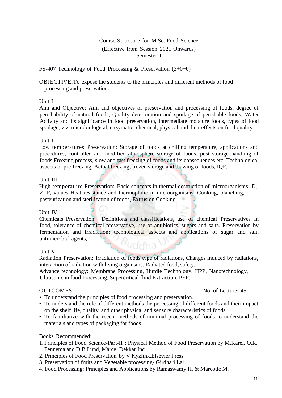FS-407 Technology of Food Processing & Preservation (3+0+0)

OBJECTIVE:To expose the students to the principles and different methods of food processing and preservation.

#### Unit I

Aim and Objective: Aim and objectives of preservation and processing of foods, degree of perishability of natural foods, Quality deterioration and spoilage of perishable foods, Water Activity and its significance in food preservation, intermediate moisture foods, types of food spoilage, viz. microbiological, enzymatic, chemical, physical and their effects on food quality

#### Unit II

Low temperatures Preservation: Storage of foods at chilling temperature, applications and procedures, controlled and modified atmosphere storage of foods, post storage handling of foods.Freezing process, slow and fast freezing of foods and its consequences etc. Technological aspects of pre-freezing, Actual freezing, frozen storage and thawing of foods, IQF.

#### Unit III

High temperature Preservation: Basic concepts in thermal destruction of microorganisms- D, Z, F, values Heat resistance and thermophilic in microorganisms. Cooking, blanching, pasteurization and sterilization of foods, Extrusion Cooking.

#### Unit IV

Chemicals Preservation : Definitions and classifications, use of chemical Preservatives in food, tolerance of chemical preservative, use of antibiotics, sugars and salts. Preservation by fermentation and irradiation; technological aspects and applications of sugar and salt, antimicrobial agents,

#### Unit-V

Radiation Preservation: Irradiation of foods type of radiations, Changes induced by radiations, interaction of radiation with living organisms. Radiated food, safety.

Advance technology: Membrane Processing, Hurdle Technology, HPP, Nanotechnology, Ultrasonic in food Processing, Supercritical fluid Extraction, PEF.

#### OUTCOMES No. of Lecture: 45

- To understand the principles of food processing and preservation.
- To understand the role of different methods the processing of different foods and their impact on the shelf life, quality, and other physical and sensory characteristics of foods.
- To familiarize with the recent methods of minimal processing of foods to understand the materials and types of packaging for foods

- 1. Principles of Food Science-Part-II": Physical Method of Food Preservation by M.Karel, O.R. Fennema and D.B.Lund, Marcel Dekkar Inc.
- 2. Principles of Food Preservation' by V.Kyzlink,Elsevier Press.
- 3. Preservation of fruits and Vegetable processing- Girdhari Lal
- 4. Food Processing: Principles and Applications by Ramaswamy H. & Marcotte M.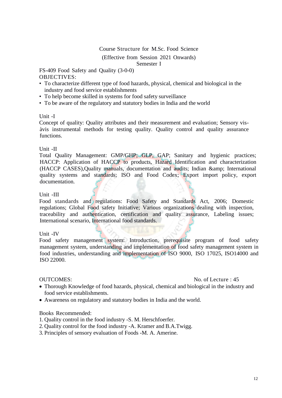#### Course Structure for M.Sc. Food Science

(Effective from Session 2021 Onwards)

Semester I

FS-409 Food Safety and Quality (3-0-0) OBJECTIVES:

- To characterize different type of food hazards, physical, chemical and biological in the industry and food service establishments
- To help become skilled in systems for food safety surveillance
- To be aware of the regulatory and statutory bodies in India and the world

#### Unit -I

Concept of quality: Quality attributes and their measurement and evaluation; Sensory visàvis instrumental methods for testing quality. Quality control and quality assurance functions.

#### Unit -II

Total Quality Management: GMP/GHP; GLP, GAP; Sanitary and hygienic practices; HACCP: Application of HACCP to products, Hazard Identification and characterization (HACCP CASES), Quality manuals, documentation and audits; Indian & amp; International quality systems and standards; ISO and Food Codex; Export import policy, export documentation.

#### Unit -III

Food standards and regulations: Food Safety and Standards Act, 2006; Domestic regulations; Global Food safety Initiative; Various organizations dealing with inspection, traceability and authentication, certification and quality assurance, Labeling issues; International scenario, International food standards.

#### Unit -IV

Food safety management system: Introduction, prerequisite program of food safety management system, understanding and implementation of food safety management system in food industries, understanding and implementation of ISO 9000, ISO 17025, ISO14000 and ISO 22000.

#### OUTCOMES: No. of Lecture : 45

- Thorough Knowledge of food hazards, physical, chemical and biological in the industry and food service establishments.
- Awareness on regulatory and statutory bodies in India and the world.

- 1. Quality control in the food industry -S. M. Herschfoerfer.
- 2. Quality control for the food industry -A. Kramer and B.A.Twigg.
- 3. Principles of sensory evaluation of Foods -M. A. Amerine.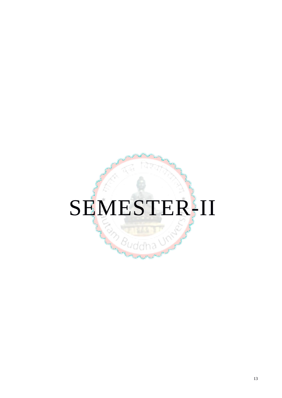# SEMESTER-II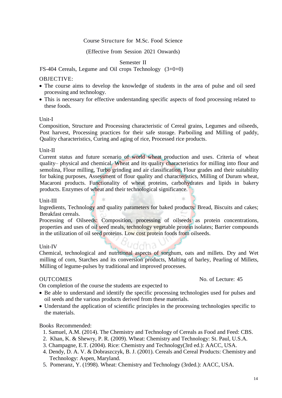#### Course Structure for M.Sc. Food Science

#### (Effective from Session 2021 Onwards)

#### Semester II

#### FS-404 Cereals, Legume and Oil crops Technology (3+0+0)

#### OBJECTIVE:

- The course aims to develop the knowledge of students in the area of pulse and oil seed processing and technology.
- This is necessary for effective understanding specific aspects of food processing related to these foods.

#### Unit-I

Composition, Structure and Processing characteristic of Cereal grains, Legumes and oilseeds, Post harvest, Processing practices for their safe storage. Parboiling and Milling of paddy, Quality characteristics, Curing and aging of rice, Processed rice products.

#### Unit-II

Current status and future scenario of world wheat production and uses. Criteria of wheat quality– physical and chemical. Wheat and its quality characteristics for milling into flour and semolina, Flour milling, Turbo grinding and air classification, Flour grades and their suitability for baking purposes, Assessment of flour quality and characteristics, Milling of Durum wheat, Macaroni products. Functionality of wheat proteins, carbohydrates and lipids in bakery products. Enzymes of wheat and their technological significance.

#### Unit-III

Ingredients, Technology and quality parameters for baked products: Bread, Biscuits and cakes; Breakfast cereals.

Processing of Oilseeds: Composition, processing of oilseeds as protein concentrations, properties and uses of oil seed meals, technology vegetable protein isolates; Barrier compounds in the utilization of oil seed proteins. Low cost protein foods from oilseeds.

#### Unit-IV

Chemical, technological and nutritional aspects of sorghum, oats and millets. Dry and Wet milling of corn, Starches and its conversion products, Malting of barley, Pearling of Millets, Milling of legume-pulses by traditional and improved processes.

OUTCOMES No. of Lecture: 45

On completion of the course the students are expected to

- Be able to understand and identify the specific processing technologies used for pulses and oil seeds and the various products derived from these materials.
- Understand the application of scientific principles in the processing technologies specific to the materials.

- 1. Samuel, A.M. (2014). The Chemistry and Technology of Cereals as Food and Feed: CBS.
- 2. Khan, K. & Shewry, P. R. (2009). Wheat: Chemistry and Technology: St. Paul, U.S.A.
- 3. Champagne, E.T. (2004). Rice: Chemistry and Technology(3rd ed.): AACC, USA.
- 4. Dendy, D. A. V. & Dobraszczyk, B. J. (2001). Cereals and Cereal Products: Chemistry and Technology: Aspen, Maryland.
- 5. Pomeranz, Y. (1998). Wheat: Chemistry and Technology (3rded.): AACC, USA.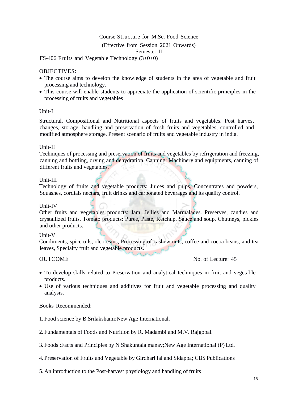FS-406 Fruits and Vegetable Technology (3+0+0)

#### OBJECTIVES:

- The course aims to develop the knowledge of students in the area of vegetable and fruit processing and technology.
- This course will enable students to appreciate the application of scientific principles in the processing of fruits and vegetables

#### Unit-I

Structural, Compositional and Nutritional aspects of fruits and vegetables. Post harvest changes, storage, handling and preservation of fresh fruits and vegetables, controlled and modified atmosphere storage. Present scenario of fruits and vegetable industry in india.

#### Unit-II

Techniques of processing and preservation of fruits and vegetables by refrigeration and freezing, canning and bottling, drying and dehydration. Canning: Machinery and equipments, canning of different fruits and vegetables.

#### Unit-III

Technology of fruits and vegetable products: Juices and pulps, Concentrates and powders, Squashes, cordials nectars, fruit drinks and carbonated beverages and its quality control.

#### Unit-IV

Other fruits and vegetables products: Jam, Jellies and Marmalades. Preserves, candies and crystallized fruits. Tomato products: Puree, Paste, Ketchup, Sauce and soup. Chutneys, pickles and other products.

#### Unit-V

Condiments, spice oils, oleoresins, Processing of cashew nuts, coffee and cocoa beans, and tea leaves, Specialty fruit and vegetable products.

OUTCOME No. of Lecture: 45

- To develop skills related to Preservation and analytical techniques in fruit and vegetable products.
- Use of various techniques and additives for fruit and vegetable processing and quality analysis.

- 1. Food science by B.Srilakshami;New Age International.
- 2. Fundamentals of Foods and Nutrition by R. Madambi and M.V. Rajgopal.
- 3. Foods :Facts and Principles by N Shakuntala manay;New Age International (P) Ltd.
- 4. Preservation of Fruits and Vegetable by Girdhari lal and Sidappa; CBS Publications
- 5. An introduction to the Post-harvest physiology and handling of fruits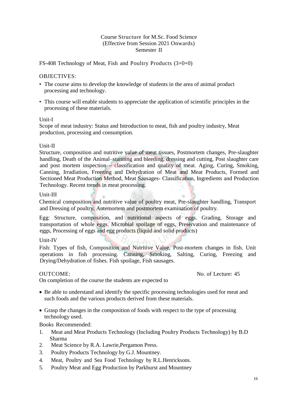#### FS-408 Technology of Meat, Fish and Poultry Products (3+0+0)

#### OBJECTIVES:

- The course aims to develop the knowledge of students in the area of animal product processing and technology.
- This course will enable students to appreciate the application of scientific principles in the processing of these materials.

#### Unit-I

Scope of meat industry: Status and Introduction to meat, fish and poultry industry, Meat production, processing and consumption.

#### Unit-II

Structure, composition and nutritive value of meat tissues, Postmortem changes, Pre-slaughter handling, Death of the Animal–stunning and bleeding, dressing and cutting, Post slaughter care and post mortem inspection  $\overline{\phantom{a}}$  classification and quality of meat. Aging, Curing, Smoking, Canning, Irradiation, Freezing and Dehydration of Meat and Meat Products, Formed and Sectioned Meat Production Method, Meat Sausages- Classification, Ingredients and Production Technology. Recent trends in meat processing.

#### Unit-III

Chemical composition and nutritive value of poultry meat, Pre-slaughter handling, Transport and Dressing of poultry, Antemortem and postmortem examination of poultry.

Egg: Structure, composition, and nutritional aspects of eggs. Grading, Storage and transportation of whole eggs. Microbial spoilage of eggs, Preservation and maintenance of eggs, Processing of eggs and egg products (liquid and solid products)

#### Unit-IV

Fish: Types of fish, Composition and Nutritive Value, Post-mortem changes in fish. Unit operations in fish processing. Canning, Smoking, Salting, Curing, Freezing and Drying/Dehydration of fishes. Fish spoilage, Fish sausages.

OUTCOME: No. of Lecture: 45

On completion of the course the students are expected to

- Be able to understand and identify the specific processing technologies used for meat and such foods and the various products derived from these materials.
- Grasp the changes in the composition of foods with respect to the type of processing technology used.

- 1. Meat and Meat Products Technology (Including Poultry Products Technology) by B.D Sharma
- 2. Meat Science by R.A. Lawrie,Pergamon Press.
- 3. Poultry Products Technology by G.J. Mountney.
- 4. Meat, Poultry and Sea Food Technology by R.L.Henricksons.
- 5. Poultry Meat and Egg Production by Parkhurst and Mountney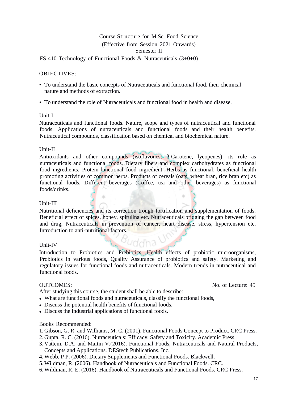FS-410 Technology of Functional Foods & Nutraceuticals (3+0+0)

#### OBJECTIVES:

- To understand the basic concepts of Nutraceuticals and functional food, their chemical nature and methods of extraction.
- To understand the role of Nutraceuticals and functional food in health and disease.

#### Unit-I

Nutraceuticals and functional foods. Nature, scope and types of nutraceutical and functional foods. Applications of nutraceuticals and functional foods and their health benefits. Nutraceutical compounds, classification based on chemical and biochemical nature.

#### Unit-II

Antioxidants and other compounds (isoflavones, β-Carotene, lycopenes), its role as nutraceuticals and functional foods. Dietary fibers and complex carbohydrates as functional food ingredients. Protein-functional food ingredient. Herbs as functional, beneficial health promoting activities of common herbs. Products of cereals (oats, wheat bran, rice bran etc) as functional foods. Different beverages (Coffee, tea and other beverages) as functional foods/drinks.

#### Unit-III

Nutritional deficiencies and its correction trough fortification and supplementation of foods. Beneficial effect of spices, honey, spirulina etc. Nutraceuticals bridging the gap between food and drug, Nutraceuticals in prevention of cancer, heart disease, stress, hypertension etc. Introduction to anti-nutritional factors.

#### Unit-IV

Introduction to Probiotics and Prebiotics: Health effects of probiotic microorganisms, Probiotics in various foods, Quality Assurance of probiotics and safety. Marketing and regulatory issues for functional foods and nutraceuticals. Modern trends in nutraceutical and functional foods.

After studying this course, the student shall be able to describe:

- What are functional foods and nutraceuticals, classify the functional foods,
- Discuss the potential health benefits of functional foods.
- Discuss the industrial applications of functional foods.

#### Books Recommended:

- 1. Gibson, G. R. and Williams, M. C. (2001). Functional Foods Concept to Product. CRC Press.
- 2. Gupta, R. C. (2016). Nutraceuticals: Efficacy, Safety and Toxicity. Academic Press.
- 3. Vattem, D.A. and Maitin V.(2016). Functional Foods, Nutraceuticals and Natural Products, Concepts and Applications. DEStech Publications, Inc.
- 4. Webb, P P. (2006). Dietary Supplements and Functional Foods. Blackwell.
- 5. Wildman, R. (2006). Handbook of Nutraceuticals and Functional Foods. CRC.
- 6. Wildman, R. E. (2016). Handbook of Nutraceuticals and Functional Foods. CRC Press.

#### OUTCOMES: No. of Lecture: 45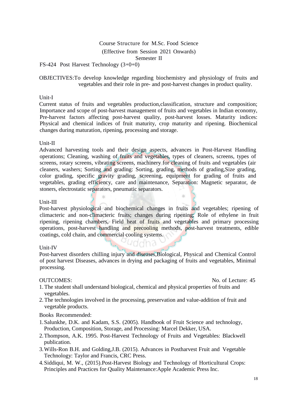Semester II

FS-424 Post Harvest Technology (3+0+0)

OBJECTIVES:To develop knowledge regarding biochemistry and physiology of fruits and vegetables and their role in pre- and post-harvest changes in product quality.

#### Unit-I

Current status of fruits and vegetables production,classification, structure and composition; Importance and scope of post-harvest management of fruits and vegetables in Indian economy, Pre-harvest factors affecting post-harvest quality, post-harvest losses. Maturity indices: Physical and chemical indices of fruit maturity, crop maturity and ripening. Biochemical changes during maturation, ripening, processing and storage.

#### Unit-II

Advanced harvesting tools and their design aspects, advances in Post-Harvest Handling operations; Cleaning, washing of fruits and vegetables, types of cleaners, screens, types of screens, rotary screens, vibrating screens, machinery for cleaning of fruits and vegetables (air cleaners, washers; Sorting and grading: Sorting, grading, methods of grading, Size grading, color grading, specific gravity grading, screening, equipment for grading of fruits and vegetables, grading efficiency, care and maintenance, Separation: Magnetic separator, de stoners, electrostatic separators, pneumatic separators.

#### Unit-III

Post-harvest physiological and biochemical changes in fruits and vegetables; ripening of climacteric and non-climacteric fruits; changes during ripening; Role of ethylene in fruit ripening, ripening chambers, Field heat of fruits and vegetables and primary processing operations, post-harvest handling and precooling methods, post-harvest treatments, edible coatings, cold chain, and commercial cooling systems.

### Unit-IV

Post-harvest disorders chilling injury and diseases,Biological, Physical and Chemical Control of post harvest Diseases, advances in drying and packaging of fruits and vegetables, Minimal processing.

OUTCOMES: No. of Lecture: 45

- 1. The student shall understand biological, chemical and physical properties of fruits and vegetables.
- 2. The technologies involved in the processing, preservation and value-addition of fruit and vegetable products.

- 1.Salunkhe, D.K. and Kadam, S.S. (2005). Handbook of Fruit Science and technology, Production, Composition, Storage, and Processing: Marcel Dekker, USA.
- 2.Thompson, A.K. 1995. Post-Harvest Technology of Fruits and Vegetables: Blackwell publication.
- 3.Wills-Ron B.H. and Golding,J.B. (2015). Advances in Postharvest Fruit and Vegetable Technology: Taylor and Francis, CRC Press.
- 4.Siddiqui, M. W., (2015).Post-Harvest Biology and Technology of Horticultural Crops: Principles and Practices for Quality Maintenance:Apple Academic Press Inc.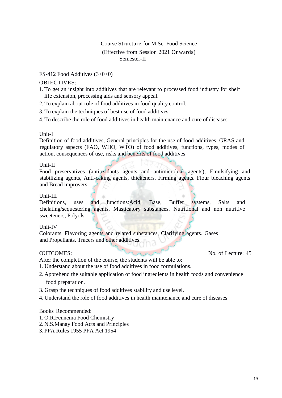### FS-412 Food Additives (3+0+0)

## OBJECTIVES:

- 1. To get an insight into additives that are relevant to processed food industry for shelf life extension, processing aids and sensory appeal.
- 2. To explain about role of food additives in food quality control.
- 3. To explain the techniques of best use of food additives.
- 4. To describe the role of food additives in health maintenance and cure of diseases.

### Unit-I

Definition of food additives, General principles for the use of food additives. GRAS and regulatory aspects (FAO, WHO, WTO) of food additives, functions, types, modes of action, consequences of use, risks and benefits of food additives

### Unit-II

Food preservatives (antioxidants agents and antimicrobial agents), Emulsifying and stabilizing agents, Anti-caking agents, thickeners, Firming agents. Flour bleaching agents and Bread improvers.

## Unit-III

Definitions, uses and functions:Acid, Base, Buffer systems, Salts and chelating/sequestering agents, Masticatory substances. Nutritional and non nutritive sweeteners, Polyols.

### Unit-IV

Colorants, Flavoring agents and related substances, Clarifying agents. Gases and Propellants. Tracers and other additives.

OUTCOMES: No. of Lecture: 45

- After the completion of the course, the students will be able to:
- 1. Understand about the use of food additives in food formulations.
- 2. Apprehend the suitable application of food ingredients in health foods and convenience food preparation.
- 3. Grasp the techniques of food additives stability and use level.
- 4. Understand the role of food additives in health maintenance and cure of diseases

- 1. O.R.Fennema Food Chemistry
- 2. N.S.Manay Food Acts and Principles
- 3. PFA Rules 1955 PFA Act 1954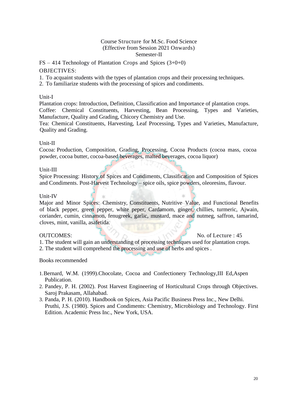$FS - 414$  Technology of Plantation Crops and Spices  $(3+0+0)$ 

#### OBJECTIVES:

1. To acquaint students with the types of plantation crops and their processing techniques.

2. To familiarize students with the processing of spices and condiments.

#### Unit-I

Plantation crops: Introduction, Definition, Classification and Importance of plantation crops. Coffee: Chemical Constituents, Harvesting, Bean Processing, Types and Varieties, Manufacture, Quality and Grading, Chicory Chemistry and Use.

Tea: Chemical Constituents, Harvesting, Leaf Processing, Types and Varieties, Manufacture, Quality and Grading.

#### Unit-II

Cocoa: Production, Composition, Grading, Processing, Cocoa Products (cocoa mass, cocoa powder, cocoa butter, cocoa-based beverages, malted beverages, cocoa liquor)

#### Unit-III

Spice Processing: History of Spices and Condiments, Classification and Composition of Spices and Condiments. Post-Harvest Technology – spice oils, spice powders, oleoresins, flavour.

#### Unit-IV

Major and Minor Spices: Chemistry, Constituents, Nutritive Value, and Functional Benefits of black pepper, green pepper, white peper, Cardamom, ginger, chillies, turmeric, Ajwain, coriander, cumin, cinnamon, fenugreek, garlic, mustard, mace and nutmeg, saffron, tamarind, cloves, mint, vanilla, asafetida.

OUTCOMES:  $\frac{1}{2}$  No. of Lecture : 45

1. The student will gain an understanding of processing techniques used for plantation crops. 2. The student will comprehend the processing and use of herbs and spices.

Books recommended

1.Bernard, W.M. (1999).Chocolate, Cocoa and Confectionery Technology,III Ed,Aspen Publication.

- 2. Pandey, P. H. (2002). Post Harvest Engineering of Horticultural Crops through Objectives. Saroj Prakasam, Allahabad.
- 3. Panda, P. H. (2010). Handbook on Spices, Asia Pacific Business Press Inc., New Delhi. Pruthi, J.S. (1980). Spices and Condiments: Chemistry, Microbiology and Technology. First Edition. Academic Press Inc., New York, USA.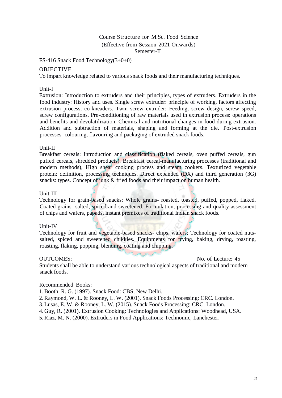FS-416 Snack Food Technology(3+0+0)

### OBJECTIVE

To impart knowledge related to various snack foods and their manufacturing techniques.

#### Unit-I

Extrusion: Introduction to extruders and their principles, types of extruders. Extruders in the food industry: History and uses. Single screw extruder: principle of working, factors affecting extrusion process, co-kneaders. Twin screw extruder: Feeding, screw design, screw speed, screw configurations. Pre-conditioning of raw materials used in extrusion process: operations and benefits and devolatilization. Chemical and nutritional changes in food during extrusion. Addition and subtraction of materials, shaping and forming at the die. Post-extrusion processes- colouring, flavouring and packaging of extruded snack foods.

#### Unit-II

Breakfast cereals: Introduction and classification (flaked cereals, oven puffed cereals, gun puffed cereals, shredded products). Breakfast cereal-manufacturing processes (traditional and modern methods), High shear cooking process and steam cookers. Texturized vegetable protein: definition, processing techniques. Direct expanded (DX) and third generation (3G) snacks: types. Concept of junk & fried foods and their impact on human health.

#### Unit-III

Technology for grain-based snacks: Whole grains- roasted, toasted, puffed, popped, flaked. Coated grains- salted, spiced and sweetened. Formulation, processing and quality assessment of chips and wafers, papads, instant premixes of traditional Indian snack foods.

#### Unit-IV

Technology for fruit and vegetable-based snacks- chips, wafers; Technology for coated nutssalted, spiced and sweetened chikkies. Equipments for frying, baking, drying, toasting, roasting, flaking, popping, blending, coating and chipping.

OUTCOMES: No. of Lecture: 45

Students shall be able to understand various technological aspects of traditional and modern snack foods.

and private

#### Recommended Books:

- 1. Booth, R. G. (1997). Snack Food: CBS, New Delhi.
- 2. Raymond, W. L. & Rooney, L. W. (2001). Snack Foods Processing: CRC. London.
- 3. Lusas, E. W. & Rooney, L. W. (2015). Snack Foods Processing: CRC. London.
- 4. Guy, R. (2001). Extrusion Cooking: Technologies and Applications: Woodhead, USA.
- 5. Riaz, M. N. (2000). Extruders in Food Applications: Technomic, Lanchester.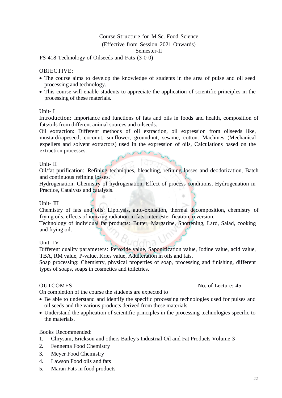FS-418 Technology of Oilseeds and Fats (3-0-0)

#### OBJECTIVE:

- The course aims to develop the knowledge of students in the area of pulse and oil seed processing and technology.
- This course will enable students to appreciate the application of scientific principles in the processing of these materials.

#### Unit- I

Introduction: Importance and functions of fats and oils in foods and health, composition of fats/oils from different animal sources and oilseeds.

Oil extraction: Different methods of oil extraction, oil expression from oilseeds like, mustard/rapeseed, coconut, sunflower, groundnut, sesame, cotton. Machines (Mechanical expellers and solvent extractors) used in the expression of oils, Calculations based on the extraction processes.

#### Unit- II

Oil/fat purification: Refining techniques, bleaching, refining losses and deodorization, Batch and continuous refining losses.

Hydrogenation: Chemistry of hydrogenation, Effect of process conditions, Hydrogenation in Practice, Catalysts and catalysis.

#### Unit- III

Chemistry of fats and oils: Lipolysis, auto-oxidation, thermal decomposition, chemistry of frying oils, effects of ionizing radiation in fats, inter-esterification, reversion.

Technology of individual fat products: Butter, Margarine, Shortening, Lard, Salad, cooking and frying oil.

#### Unit- IV

Different quality parameters: Peroxide value, Saponification value, Iodine value, acid value, TBA, RM value, P-value, Kries value, Adulteration in oils and fats.

Soap processing: Chemistry, physical properties of soap, processing and finishing, different types of soaps, soaps in cosmetics and toiletries.

On completion of the course the students are expected to

- Be able to understand and identify the specific processing technologies used for pulses and oil seeds and the various products derived from these materials.
- Understand the application of scientific principles in the processing technologies specific to the materials.

#### Books Recommended:

- 1. Chrysam, Erickson and others Bailey's Industrial Oil and Fat Products Volume-3
- 2. Fennema Food Chemistry
- 3. Meyer Food Chemistry
- 4. Lawson Food oils and fats
- 5. Maran Fats in food products

#### OUTCOMES No. of Lecture: 45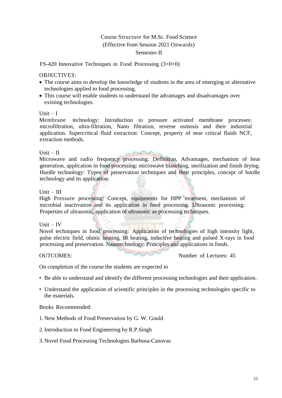FS-420 Innovative Techniques in Food Processing (3+0+0)

#### OBJECTIVES:

- The course aims to develop the knowledge of students in the area of emerging or alternative technologies applied to food processing.
- This course will enable students to understand the advantages and disadvantages over existing technologies.

#### Unit  $-I$

Membrane technology: Introduction to pressure activated membrane processes: microfiltration, ultra-filtration, Nano filtration, reverse osmosis and their industrial application. Supercritical fluid extraction: Concept, property of near critical fluids NCF, extraction methods.

#### Unit  $-$  II

Microwave and radio frequency processing: Definition, Advantages, mechanism of heat generation, application in food processing: microwave blanching, sterilization and finish drying. Hurdle technology: Types of preservation techniques and their principles, concept of hurdle technology and its application.

#### $Unit - III$

High Pressure processing: Concept, equipments for HPP treatment, mechanism of microbial inactivation and its application in food processing. Ultrasonic processing: Properties of ultrasonic, application of ultrasonic as processing techniques.

### Unit  $-$  IV

Novel techniques in food processing: Application of technologies of high intensity light, pulse electric field, ohmic heating, IR heating, inductive heating and pulsed X-rays in food processing and preservation. Nanotechnology: Principles and applications in foods.

OUTCOMES: Number of Lectures: 45

On completion of the course the students are expected to

- Be able to understand and identify the different processing technologies and their application.
- Understand the application of scientific principles in the processing technologies specific to the materials.

- 1. New Methods of Food Preservation by G. W. Gould
- 2. Introduction to Food Engineering by R.P.Singh
- 3. Novel Food Processing Technologies Barbosa-Canovas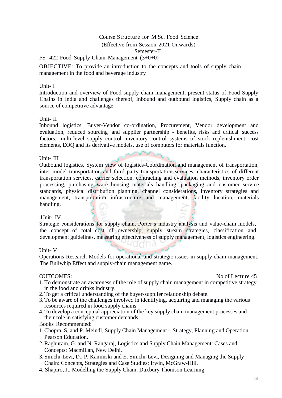FS- 422 Food Supply Chain Management (3+0+0)

OBJECTIVE: To provide an introduction to the concepts and tools of supply chain management in the food and beverage industry

#### Unit- I

Introduction and overview of Food supply chain management, present status of Food Supply Chains in India and challenges thereof, Inbound and outbound logistics, Supply chain as a source of competitive advantage.

#### Unit- II

Inbound logistics, Buyer-Vendor co-ordination, Procurement, Vendor development and evaluation, reduced sourcing and supplier partnership - benefits, risks and critical success factors, multi-level supply control. inventory control systems of stock replenishment, cost elements, EOQ and its derivative models, use of computers for materials function.

#### Unit- III

Outbound logistics, System view of logistics-Coordination and management of transportation, inter model transportation and third party transportation services, characteristics of different transportation services, carrier selection, contracting and evaluation methods, inventory order processing, purchasing ware housing materials handling, packaging and customer service standards, physical distribution planning, channel considerations, inventory strategies and management, transportation infrastructure and management, facility location, materials handling.

#### Unit- IV

Strategic considerations for supply chain, Porter's industry analysis and value-chain models, the concept of total cost of ownership, supply stream strategies, classification and development guidelines, measuring effectiveness of supply management, logistics engineering.

### Unit- V

Operations Research Models for operational and strategic issues in supply chain management. The Bullwhip Effect and supply-chain management game.

OUTCOMES: No of Lecture 45

- 1. To demonstrate an awareness of the role of supply chain management in competitive strategy in the food and drinks industry.
- 2. To get a critical understanding of the buyer-supplier relationship debate.
- 3. To be aware of the challenges involved in identifying, acquiring and managing the various resources required in food supply chains.
- 4. To develop a conceptual appreciation of the key supply chain management processes and their role in satisfying customer demands.

- 1.Chopra, S, and P. Meindl, Supply Chain Management Strategy, Planning and Operation, Pearson Education.
- 2.Raghuram, G. and N. Rangaraj, Logistics and Supply Chain Management: Cases and Concepts; Macmillan, New Delhi.
- 3. Simchi-Levi, D., P. Kaminski and E. Simchi-Levi, Designing and Managing the Supply Chain: Concepts, Strategies and Case Studies; Irwin, McGraw-Hill.
- 4. Shapiro, J., Modelling the Supply Chain; Duxbury Thomson Learning.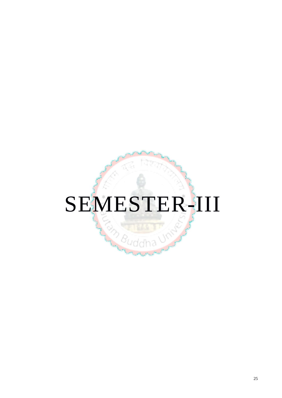# SEMESTER-III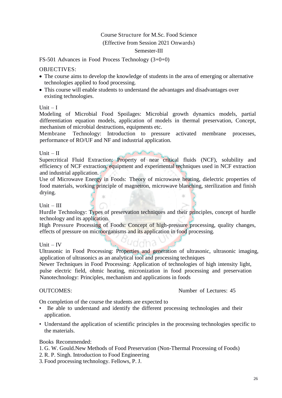#### Semester-III

FS-501 Advances in Food Process Technology (3+0+0)

#### OBJECTIVES:

- The course aims to develop the knowledge of students in the area of emerging or alternative technologies applied to food processing.
- This course will enable students to understand the advantages and disadvantages over existing technologies.

#### Unit  $-I$

Modeling of Microbial Food Spoilages: Microbial growth dynamics models, partial differentiation equation models, application of models in thermal preservation, Concept, mechanism of microbial destructions, equipments etc.

Membrane Technology: Introduction to pressure activated membrane processes, performance of RO/UF and NF and industrial application.

#### $Unit - II$

Supercritical Fluid Extraction: Property of near critical fluids (NCF), solubility and efficiency of NCF extraction, equipment and experimental techniques used in NCF extraction and industrial application.

Use of Microwave Energy in Foods: Theory of microwave heating, dielectric properties of food materials, working principle of magnetron, microwave blanching, sterilization and finish drying.

Unit  $-$  III

Hurdle Technology: Types of preservation techniques and their principles, concept of hurdle technology and its application.

High Pressure Processing of Foods: Concept of high-pressure processing, quality changes, effects of pressure on microorganisms and its application in food processing.

Unit – IV

Ultrasonic in Food Processing: Properties and generation of ultrasonic, ultrasonic imaging, application of ultrasonics as an analytical tool and processing techniques

Newer Techniques in Food Processing: Application of technologies of high intensity light, pulse electric field, ohmic heating, micronization in food processing and preservation Nanotechnology: Principles, mechanism and applications in foods

OUTCOMES: Number of Lectures: 45

On completion of the course the students are expected to

- Be able to understand and identify the different processing technologies and their application.
- Understand the application of scientific principles in the processing technologies specific to the materials.

- 1. G. W. Gould.New Methods of Food Preservation (Non-Thermal Processing of Foods)
- 2. R. P. Singh. Introduction to Food Engineering
- 3. Food processing technology. Fellows, P. J.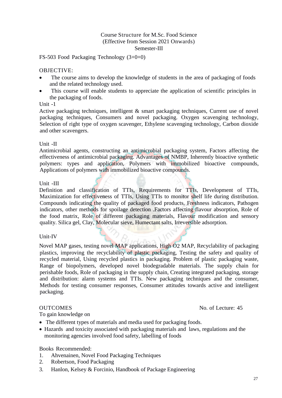FS-503 Food Packaging Technology (3+0+0)

#### OBJECTIVE:

- The course aims to develop the knowledge of students in the area of packaging of foods and the related technology used.
- This course will enable students to appreciate the application of scientific principles in the packaging of foods.

#### Unit -1

Active packaging techniques, intelligent & smart packaging techniques, Current use of novel packaging techniques, Consumers and novel packaging. Oxygen scavenging technology, Selection of right type of oxygen scavenger, Ethylene scavenging technology, Carbon dioxide and other scavengers.

#### Unit -II

Antimicrobial agents, constructing an antimicrobial packaging system, Factors affecting the effectiveness of antimicrobial packaging. Advantages of NMBP, Inherently bioactive synthetic polymers: types and application, Polymers with immobilized bioactive compounds, Applications of polymers with immobilized bioactive compounds.

### Unit -III

Definition and classification of TTIs, Requirements for TTIs, Development of TTIs, Maximization for effectiveness of TTIs, Using TTIs to monitor shelf life during distribution. Compounds indicating the quality of packaged food products, Freshness indicators, Pathogen indicators, other methods for spoilage detection .Factors affecting flavour absorption, Role of the food matrix, Role of different packaging materials, Flavour modification and sensory quality. Silica gel, Clay, Molecular sieve, Humectant salts, Irreversible adsorption.

### Unit-IV

Novel MAP gases, testing novel MAP applications, High O2 MAP, Recyclability of packaging plastics, improving the recyclability of plastic packaging, Testing the safety and quality of recycled material, Using recycled plastics in packaging. Problem of plastic packaging waste, Range of biopolymers, developed novel biodegradable materials. The supply chain for perishable foods, Role of packaging in the supply chain, Creating integrated packaging, storage and distribution: alarm systems and TTIs. New packaging techniques and the consumer, Methods for testing consumer responses, Consumer attitudes towards active and intelligent packaging.

OUTCOMES No. of Lecture: 45

To gain knowledge on

- The different types of materials and media used for packaging foods.
- Hazards and toxicity associated with packaging materials and laws, regulations and the monitoring agencies involved food safety, labelling of foods

- 1. Ahvenainen, Novel Food Packaging Techniques
- 2. Robertson, Food Packaging
- 3. Hanlon, Kelsey & Forcinio, Handbook of Package Engineering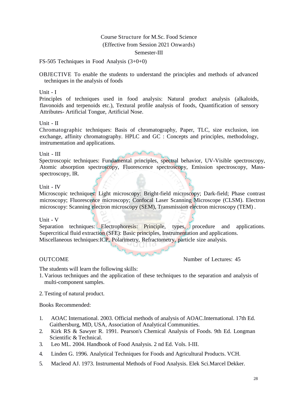FS-505 Techniques in Food Analysis (3+0+0)

OBJECTIVE To enable the students to understand the principles and methods of advanced techniques in the analysis of foods

Unit - I

Principles of techniques used in food analysis: Natural product analysis (alkaloids, flavonoids and terpenoids etc.), Textural profile analysis of foods, Quantification of sensory Attributes- Artificial Tongue, Artificial Nose.

Unit - II

Chromatographic techniques: Basis of chromatography, Paper, TLC, size exclusion, ion exchange, affinity chromatography. HPLC and GC : Concepts and principles, methodology, instrumentation and applications.

Unit - III

Spectroscopic techniques: Fundamental principles, spectral behavior, UV-Visible spectroscopy, Atomic absorption spectroscopy, Fluorescence spectroscopy, Emission spectroscopy, Massspectroscopy, IR.

#### Unit - IV

Microscopic techniques: Light microscopy: Bright-field microscopy; Dark-field; Phase contrast microscopy; Fluorescence microscopy; Confocal Laser Scanning Microscope (CLSM). Electron microscopy: Scanning electron microscopy (SEM), Transmission electron microscopy (TEM) .

#### Unit - V

Separation techniques: Electrophoresis: Principle, types, procedure and applications. Supercritical fluid extraction (SFE): Basic principles, Instrumentation and applications. Miscellaneous techniques:ICP, Polarimetry, Refractometry, particle size analysis.

OUTCOME Number of Lectures: 45

The students will learn the following skills:

- 1. Various techniques and the application of these techniques to the separation and analysis of multi-component samples.
- 2. Testing of natural product.

- 1. AOAC International. 2003. Official methods of analysis of AOAC.International. 17th Ed. Gaithersburg, MD, USA, Association of Analytical Communities.
- 2. Kirk RS & Sawyer R. 1991. Pearson's Chemical Analysis of Foods. 9th Ed. Longman Scientific & Technical.
- 3. Leo ML. 2004. Handbook of Food Analysis. 2 nd Ed. Vols. I-III.
- 4. Linden G. 1996. Analytical Techniques for Foods and Agricultural Products. VCH.
- 5. Macleod AJ. 1973. Instrumental Methods of Food Analysis. Elek Sci.Marcel Dekker.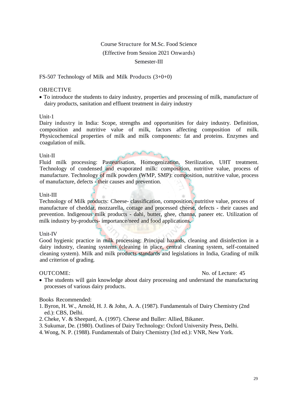#### Semester-III

#### FS-507 Technology of Milk and Milk Products (3+0+0)

#### OBJECTIVE

 To introduce the students to dairy industry, properties and processing of milk, manufacture of dairy products, sanitation and effluent treatment in dairy industry

#### Unit-1

Dairy industry in India: Scope, strengths and opportunities for dairy industry. Definition, composition and nutritive value of milk, factors affecting composition of milk. Physicochemical properties of milk and milk components: fat and proteins. Enzymes and coagulation of milk.

#### Unit-II

Fluid milk processing: Pasteurisation, Homogenization, Sterilization, UHT treatment. Technology of condensed and evaporated milk: composition, nutritive value, process of manufacture. Technology of milk powders (WMP, SMP): composition, nutritive value, process of manufacture, defects - their causes and prevention.

#### Unit-III

Technology of Milk products: Cheese- classification, composition, nutritive value, process of manufacture of cheddar, mozzarella, cottage and processed cheese, defects - their causes and prevention. Indigenous milk products - dahi, butter, ghee, channa, paneer etc. Utilization of milk industry by-products- importance/need and food applications.

#### Unit-IV

Good hygienic practice in milk processing: Principal hazards, cleaning and disinfection in a dairy industry, cleaning systems (cleaning in place, central cleaning system, self-contained cleaning system). Milk and milk products standards and legislations in India, Grading of milk and criterion of grading.

OUTCOME: No. of Lecture: 45

 The students will gain knowledge about dairy processing and understand the manufacturing processes of various dairy products.

- 1.Byron, H. W., Arnold, H. J. & John, A. A. (1987). Fundamentals of Dairy Chemistry (2nd ed.): CBS, Delhi.
- 2.Cheke, V. & Sheepard, A. (1997). Cheese and Buller: Allied, Bikaner.
- 3. Sukumar, De. (1980). Outlines of Dairy Technology: Oxford University Press, Delhi.
- 4. Wong, N. P. (1988). Fundamentals of Dairy Chemistry (3rd ed.): VNR, New York.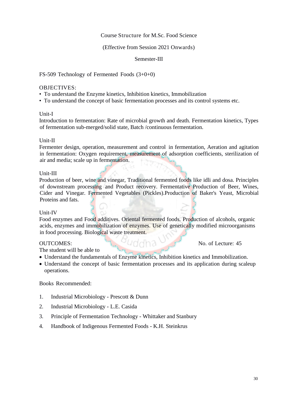#### Course Structure for M.Sc. Food Science

#### (Effective from Session 2021 Onwards)

#### Semester-III

FS-509 Technology of Fermented Foods (3+0+0)

#### OBJECTIVES:

- To understand the Enzyme kinetics, Inhibition kinetics, Immobilization
- To understand the concept of basic fermentation processes and its control systems etc.

#### Unit-I

Introduction to fermentation: Rate of microbial growth and death. Fermentation kinetics, Types of fermentation sub-merged/solid state, Batch /continuous fermentation.

#### Unit-II

Fermenter design, operation, measurement and control in fermentation, Aeration and agitation in fermentation: Oxygen requirement, measurement of adsorption coefficients, sterilization of air and media; scale up in fermentation.

#### Unit-III

Production of beer, wine and vinegar, Traditional fermented foods like idli and dosa. Principles of downstream processing and Product recovery. Fermentative Production of Beer, Wines, Cider and Vinegar. Fermented Vegetables (Pickles). Production of Baker's Yeast, Microbial Proteins and fats.

#### Unit-IV

Food enzymes and Food additives. Oriental fermented foods. Production of alcohols, organic acids, enzymes and immobilization of enzymes. Use of genetically modified microorganisms in food processing. Biological waste treatment.

OUTCOMES: No. of Lecture: 45

The student will be able to

- Understand the fundamentals of Enzyme kinetics, Inhibition kinetics and Immobilization.
- Understand the concept of basic fermentation processes and its application during scaleup operations.

- 1. Industrial Microbiology Prescott & Dunn
- 2. Industrial Microbiology L.E. Casida
- 3. Principle of Fermentation Technology Whittaker and Stanbury
- 4. Handbook of Indigenous Fermented Foods K.H. Steinkrus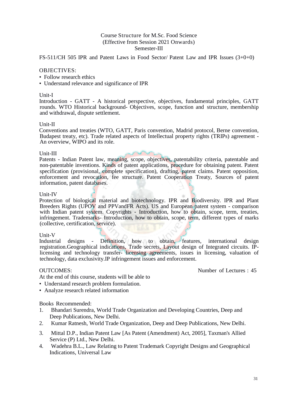FS-511/CH 505 IPR and Patent Laws in Food Sector/ Patent Law and IPR Issues (3+0+0)

#### OBJECTIVES:

- Follow research ethics
- Understand relevance and significance of IPR

#### Unit-I

Introduction - GATT - A historical perspective, objectives, fundamental principles, GATT rounds. WTO Historical background- Objectives, scope, function and structure, membership and withdrawal, dispute settlement.

#### Unit-II

Conventions and treaties (WTO, GATT, Paris convention, Madrid protocol, Berne convention, Budapest treaty, etc). Trade related aspects of Intellectual property rights (TRIPs) agreement - An overview, WIPO and its role.

#### Unit-III

Patents - Indian Patent law, meaning, scope, objectives, patentability criteria, patentable and non-patentable inventions. Kinds of patent applications, procedure for obtaining patent. Patent specification (provisional, complete specification), drafting, patent claims. Patent opposition, enforcement and revocation, fee structure. Patent Cooperation Treaty, Sources of patent information, patent databases.

#### Unit-IV

Protection of biological material and biotechnology. IPR and Biodiversity. IPR and Plant Breeders Rights (UPOV and PPVandFR Acts). US and European patent system - comparison with Indian patent system. Copyrights - Introduction, how to obtain, scope, term, treaties, infringement. Trademarks- Introduction, how to obtain, scope, term, different types of marks (collective, certification, service).

#### Unit-V

Industrial designs - Definition, how to obtain, features, international design registration.Geographical indications, Trade secrets, Layout design of Integrated circuits. IPlicensing and technology transfer- licensing agreements, issues in licensing, valuation of technology, data exclusivity.IP infringement issues and enforcement.

OUTCOMES: Number of Lectures : 45

At the end of this course, students will be able to

- Understand research problem formulation.
- Analyze research related information

- 1. Bhandari Surendra, World Trade Organization and Developing Countries, Deep and Deep Publications, New Delhi.
- 2. Kumar Ratnesh, World Trade Organization, Deep and Deep Publications, New Delhi.
- 3. Mittal D.P., Indian Patent Law [As Patent (Amendment) Act, 2005], Taxman's Allied Service (P) Ltd., New Delhi.
- 4. Wadehra B.L., Law Relating to Patent Trademark Copyright Designs and Geographical Indications, Universal Law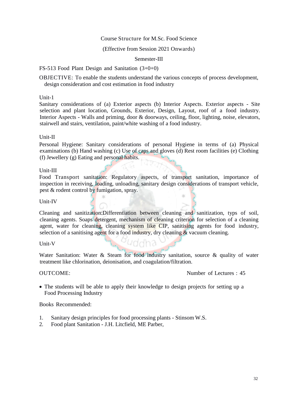#### Course Structure for M.Sc. Food Science

#### (Effective from Session 2021 Onwards)

#### Semester-III

#### FS-513 Food Plant Design and Sanitation (3+0+0)

OBJECTIVE: To enable the students understand the various concepts of process development, design consideration and cost estimation in food industry

#### Unit-1

Sanitary considerations of (a) Exterior aspects (b) Interior Aspects. Exterior aspects - Site selection and plant location, Grounds, Exterior, Design, Layout, roof of a food industry. Interior Aspects - Walls and priming, door & doorways, ceiling, floor, lighting, noise, elevators, stairwell and stairs, ventilation, paint/white washing of a food industry.

#### Unit-II

Personal Hygiene: Sanitary considerations of personal Hygiene in terms of (a) Physical examinations (b) Hand washing (c) Use of caps and gloves (d) Rest room facilities (e) Clothing (f) Jewellery (g) Eating and personal habits.

#### Unit-III

Food Transport sanitation: Regulatory aspects, of transport sanitation, importance of inspection in receiving, loading, unloading, sanitary design considerations of transport vehicle, pest & rodent control by fumigation, spray.

Unit-IV

Cleaning and sanitization:Differentiation between cleaning and sanitization, typs of soil, cleaning agents. Soaps detergent, mechanism of cleaning criterion for selection of a cleaning agent, water for cleaning, cleaning system like CIP, sanitising agents for food industry, selection of a sanitising agent for a food industry, dry cleaning  $\&$  vacuum cleaning.

Unit-V

Water Sanitation: Water & Steam for food industry sanitation, source & quality of water treatment like chlorination, deionisation, and coagulation/filtration.

OUTCOME: Number of Lectures : 45

 The students will be able to apply their knowledge to design projects for setting up a Food Processing Industry

- 1. Sanitary design principles for food processing plants Stinsom W.S.
- 2. Food plant Sanitation J.H. Litcfield, ME Parber,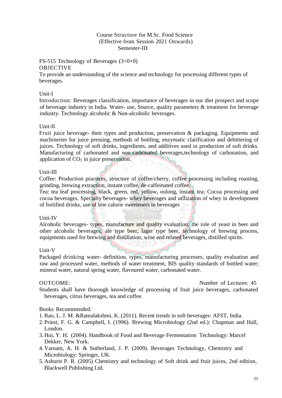## FS-515 Technology of Beverages (3+0+0)

#### OBJECTIVE

To provide an understanding of the science and technology for processing different types of beverages.

#### Unit-I

Introduction: Beverages classification, importance of beverages in our diet prospect and scope of beverage industry in India. Water- use, Source, quality parameters & treatment for beverage industry. Technology alcoholic & Non-alcoholic beverages.

#### Unit-II

Fruit juice beverage- their types and production, preservation & packaging. Equipments and machineries for juice pressing, methods of bottling, enzymatic clarification and debittering of juices. Technology of soft drinks, ingredients, and additives used in production of soft drinks. Manufacturing of carbonated and non-carbonated beverages,technology of carbonation, and application of  $CO<sub>2</sub>$  in juice preservation.

### Unit-III

Coffee: Production practices, structure of coffee/cherry, coffee processing including roasting, grinding, brewing extraction, instant coffee, de-caffeinated coffee.

Tea: tea leaf processing, black, green, red, yellow, oolong, instant tea; Cocoa processing and cocoa beverages. Specialty beverages- whey beverages and utilization of whey in development of fortified drinks, use of low calorie sweeteners in beverages

### Unit-IV

Alcoholic beverages- types, manufacture and quality evaluation; the role of yeast in beer and other alcoholic beverages, ale type beer, lager type beer, technology of brewing process, equipments used for brewing and distillation, wine and related beverages, distilled spirits.

### Unit-V

Packaged drinking water- definition, types, manufacturing processes, quality evaluation and raw and processed water, methods of water treatment, BIS quality standards of bottled water; mineral water, natural spring water, flavoured water, carbonated water.

OUTCOME: Number of Lectures: 45

Students shall have thorough knowledge of processing of fruit juice beverages, carbonated beverages, citrus beverages, tea and coffee.

- 1.Rao, L. J. M. &Ramalakshmi, K. (2011). Recent trends in soft beverages: AFST, India.
- 2. Priest, F. G. & Campbell, I. (1996). Brewing Microbiology (2nd ed.): Chapman and Hall, London.
- 3. Hui, Y. H. (2004). Handbook of Food and Beverage Fermentation Technology: Marcel Dekker, New York.
- 4. Varnam, A. H. & Sutherland, J. P. (2009). Beverages Technology, Chemistry and Microbiology: Springer, UK.
- 5. Ashurst P. R. (2005) Chemistry and technology of Soft drink and fruit juices, 2nd edition, Blackwell Publishing Ltd.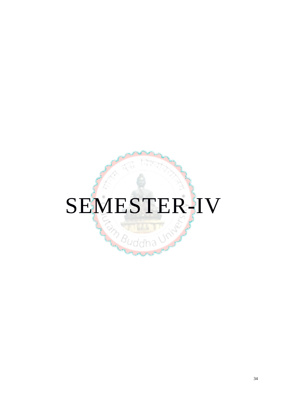# SEMESTER-IV